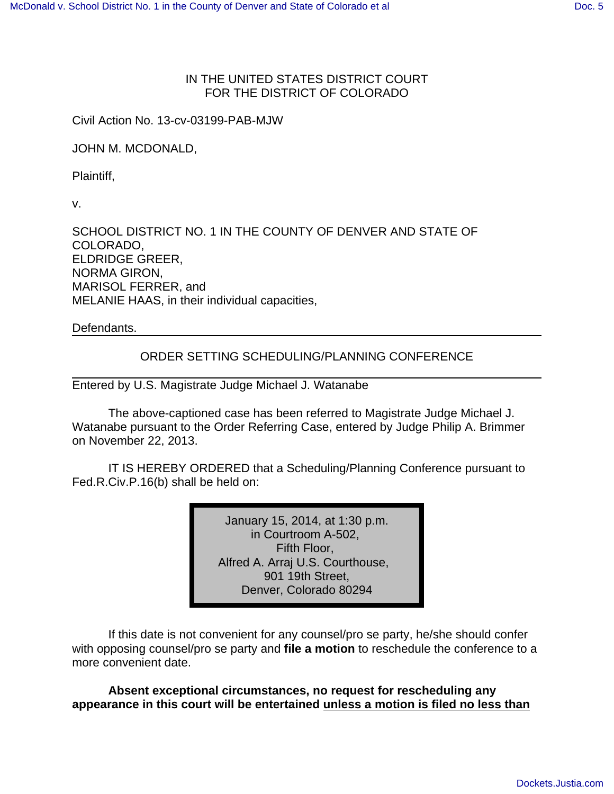## IN THE UNITED STATES DISTRICT COURT FOR THE DISTRICT OF COLORADO

Civil Action No. 13-cv-03199-PAB-MJW

JOHN M. MCDONALD,

Plaintiff,

v.

SCHOOL DISTRICT NO. 1 IN THE COUNTY OF DENVER AND STATE OF COLORADO, ELDRIDGE GREER, NORMA GIRON, MARISOL FERRER, and MELANIE HAAS, in their individual capacities,

Defendants.

## ORDER SETTING SCHEDULING/PLANNING CONFERENCE

Entered by U.S. Magistrate Judge Michael J. Watanabe

The above-captioned case has been referred to Magistrate Judge Michael J. Watanabe pursuant to the Order Referring Case, entered by Judge Philip A. Brimmer on November 22, 2013.

IT IS HEREBY ORDERED that a Scheduling/Planning Conference pursuant to Fed.R.Civ.P.16(b) shall be held on:

> January 15, 2014, at 1:30 p.m. in Courtroom A-502, Fifth Floor, Alfred A. Arraj U.S. Courthouse, 901 19th Street, Denver, Colorado 80294

If this date is not convenient for any counsel/pro se party, he/she should confer with opposing counsel/pro se party and **file a motion** to reschedule the conference to a more convenient date.

**Absent exceptional circumstances, no request for rescheduling any appearance in this court will be entertained unless a motion is filed no less than**